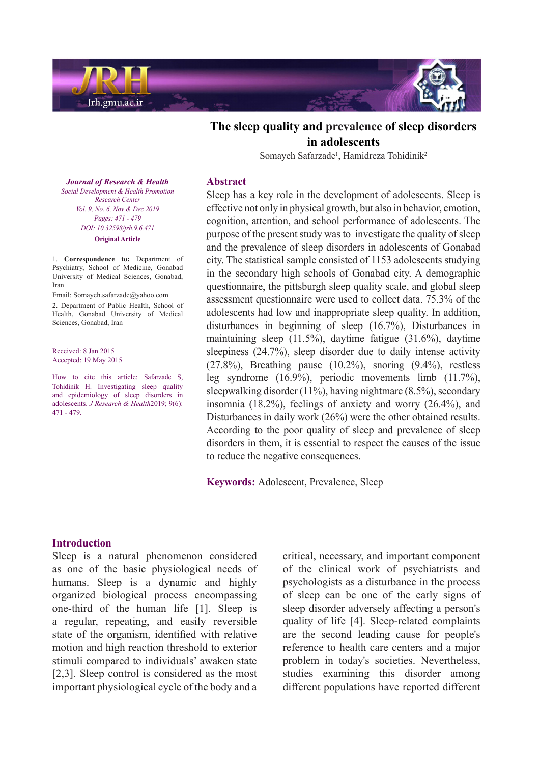

# The sleep quality and prevalence of sleep disorders **adolescents in**

Somayeh Safarzade<sup>1</sup>, Hamidreza Tohidinik<sup>2</sup>

#### **Abstract**

Sleep has a key role in the development of adolescents. Sleep is effective not only in physical growth, but also in behavior, emotion, cognition, attention, and school performance of adolescents. The purpose of the present study was to investigate the quality of sleep and the prevalence of sleep disorders in adolescents of Gonabad city. The statistical sample consisted of 1153 adolescents studying in the secondary high schools of Gonabad city. A demographic questionnaire, the pittsburgh sleep quality scale, and global sleep assessment questionnaire were used to collect data. 75.3% of the adolescents had low and inappropriate sleep quality. In addition, disturbances in beginning of sleep  $(16.7%)$ , Disturbances in maintaining sleep  $(11.5\%)$ , daytime fatigue  $(31.6\%)$ , daytime sleepiness  $(24.7%)$ , sleep disorder due to daily intense activity  $(27.8\%)$ , Breathing pause  $(10.2\%)$ , snoring  $(9.4\%)$ , restless leg syndrome  $(16.9\%)$ , periodic movements limb  $(11.7\%)$ , sleepwalking disorder (11%), having nightmare  $(8.5\%)$ , secondary insomnia  $(18.2\%)$ , feelings of anxiety and worry  $(26.4\%)$ , and Disturbances in daily work  $(26%)$  were the other obtained results. According to the poor quality of sleep and prevalence of sleep disorders in them, it is essential to respect the causes of the issue to reduce the negative consequences.

Keywords: Adolescent, Prevalence, Sleep

**Journal of Research & Health**  *Promotion Health & Development Social Center Research Vol.* 9, No. 6, Nov & Dec 2019 *Pages: 471 - 479 DOI*: 10.32598/jrh.9.6.471 **Original** Article

1. **Correspondence** to: Department of Psychiatry, School of Medicine, Gonabad University of Medical Sciences, Gonabad, Iran

Email: Somayeh.safarzade@yahoo.com 2. Department of Public Health, School of Health, Gonabad University of Medical Sciences, Gonabad, Iran

Received: 8 Jan 2015 Accepted: 19 May 2015

How to cite this article: Safarzade S, Tohidinik H. Investigating sleep quality and epidemiology of sleep disorders in adolescents. *J Research & Health* 2019; 9(6):  $471 - 479.$ 

### **Introduction**

Sleep is a natural phenomenon considered as one of the basic physiological needs of humans. Sleep is a dynamic and highly organized biological process encompassing one-third of the human life  $[1]$ . Sleep is a regular, repeating, and easily reversible state of the organism, identified with relative motion and high reaction threshold to exterior stimuli compared to individuals' awaken state  $[2,3]$ . Sleep control is considered as the most important physiological cycle of the body and a critical, necessary, and important component of the clinical work of psychiatrists and psychologists as a disturbance in the process of sleep can be one of the early signs of sleep disorder adversely affecting a person's quality of life [4]. Sleep-related complaints are the second leading cause for people's reference to health care centers and a major problem in today's societies. Nevertheless, studies examining this disorder among different populations have reported different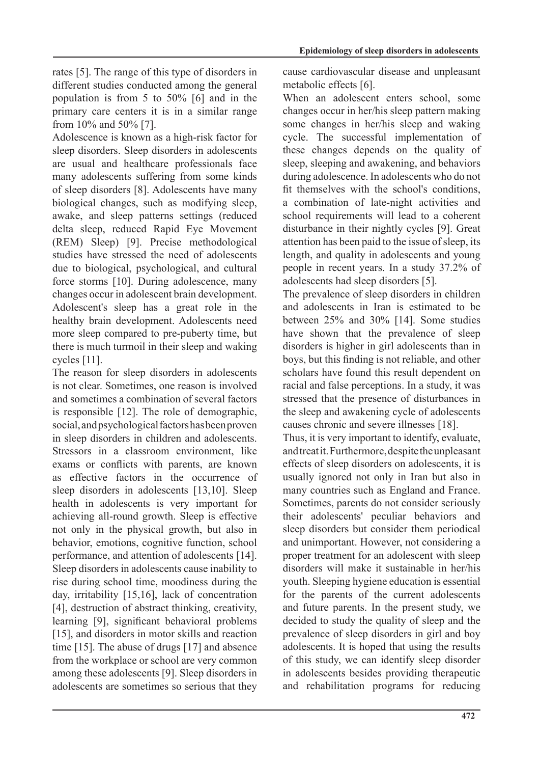rates [5]. The range of this type of disorders in different studies conducted among the general population is from 5 to 50%  $[6]$  and in the primary care centers it is in a similar range from  $10\%$  and  $50\%$  [7].

Adolescence is known as a high-risk factor for sleep disorders. Sleep disorders in adolescents are usual and healthcare professionals face many adolescents suffering from some kinds of sleep disorders [8]. Adolescents have many biological changes, such as modifying sleep, awake, and sleep patterns settings (reduced delta sleep, reduced Rapid Eye Movement (REM) Sleep) [9]. Precise methodological studies have stressed the need of adolescents due to biological, psychological, and cultural force storms [10]. During adolescence, many changes occur in adolescent brain development. Adolescent's sleep has a great role in the healthy brain development. Adolescents need more sleep compared to pre-puberty time, but there is much turmoil in their sleep and waking cycles [11].

The reason for sleep disorders in adolescents is not clear. Sometimes, one reason is involved and sometimes a combination of several factors is responsible  $[12]$ . The role of demographic, social, and psychological factors has been proven in sleep disorders in children and adolescents. Stressors in a classroom environment, like exams or conflicts with parents, are known as effective factors in the occurrence of sleep disorders in adolescents  $[13,10]$ . Sleep health in adolescents is very important for achieving all-round growth. Sleep is effective not only in the physical growth, but also in behavior, emotions, cognitive function, school performance, and attention of adolescents [14]. Sleep disorders in adolescents cause inability to rise during school time, moodiness during the day, irritability  $[15,16]$ , lack of concentration [4], destruction of abstract thinking, creativity, learning [9], significant behavioral problems  $[15]$ , and disorders in motor skills and reaction time  $[15]$ . The abuse of drugs  $[17]$  and absence from the workplace or school are very common among these adolescents [9]. Sleep disorders in adolescents are sometimes so serious that they cause cardiovascular disease and unpleasant metabolic effects [6].

When an adolescent enters school, some changes occur in her/his sleep pattern making some changes in her/his sleep and waking cycle. The successful implementation of these changes depends on the quality of sleep, sleeping and awakening, and behaviors during adolescence. In adolescents who do not fit themselves with the school's conditions, a combination of late-night activities and school requirements will lead to a coherent disturbance in their nightly cycles [9]. Great attention has been paid to the issue of sleep, its length, and quality in adolescents and young people in recent years. In a study 37.2% of adolescents had sleep disorders [5].

The prevalence of sleep disorders in children and adolescents in Iran is estimated to be between  $25%$  and  $30%$  [14]. Some studies have shown that the prevalence of sleep disorders is higher in girl adolescents than in boys, but this finding is not reliable, and other scholars have found this result dependent on racial and false perceptions. In a study, it was stressed that the presence of disturbances in the sleep and awakening cycle of adolescents causes chronic and severe illnesses [18].

Thus, it is very important to identify, evaluate, and treat it. Furthermore, despite the unpleasant effects of sleep disorders on adolescents, it is usually ignored not only in Iran but also in many countries such as England and France. Sometimes, parents do not consider seriously their adolescents' peculiar behaviors and sleep disorders but consider them periodical and unimportant. However, not considering a proper treatment for an adolescent with sleep disorders will make it sustainable in her/his vouth. Sleeping hygiene education is essential for the parents of the current adolescents and future parents. In the present study, we decided to study the quality of sleep and the prevalence of sleep disorders in girl and boy adolescents. It is hoped that using the results of this study, we can identify sleep disorder in adolescents besides providing therapeutic and rehabilitation programs for reducing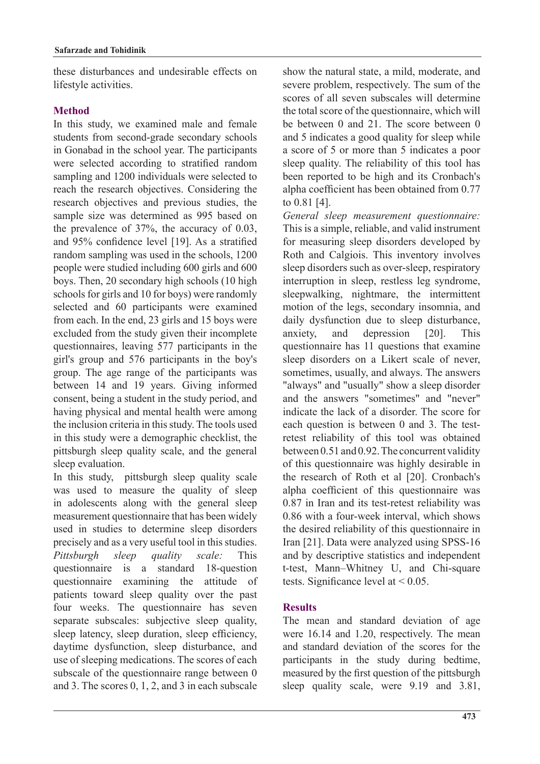these disturbances and undesirable effects on lifestyle activities.

## **Method**

In this study, we examined male and female students from second-grade secondary schools in Gonabad in the school year. The participants were selected according to stratified random sampling and 1200 individuals were selected to reach the research objectives. Considering the research objectives and previous studies, the sample size was determined as 995 based on the prevalence of  $37\%$ , the accuracy of 0.03, and 95% confidence level [19]. As a stratified random sampling was used in the schools, 1200 people were studied including 600 girls and 600 boys. Then, 20 secondary high schools (10 high schools for girls and 10 for boys) were randomly selected and 60 participants were examined from each. In the end,  $23$  girls and  $15$  boys were excluded from the study given their incomplete questionnaires, leaving 577 participants in the girl's group and 576 participants in the boy's group. The age range of the participants was between 14 and 19 years. Giving informed consent, being a student in the study period, and having physical and mental health were among the inclusion criteria in this study. The tools used in this study were a demographic checklist, the pittsburgh sleep quality scale, and the general sleep evaluation.

In this study, pittsburgh sleep quality scale was used to measure the quality of sleep in adolescents along with the general sleep measurement questionnaire that has been widely used in studies to determine sleep disorders precisely and as a very useful tool in this studies. *Pittsburgh sleep quality scale:* This questionnaire is a standard 18-question questionnaire examining the attitude of patients toward sleep quality over the past four weeks. The questionnaire has seven separate subscales: subjective sleep quality, sleep latency, sleep duration, sleep efficiency, daytime dysfunction, sleep disturbance, and use of sleeping medications. The scores of each subscale of the questionnaire range between  $0$ and 3. The scores  $0, 1, 2,$  and 3 in each subscale show the natural state, a mild, moderate, and severe problem, respectively. The sum of the scores of all seven subscales will determine the total score of the questionnaire, which will be between  $0$  and  $21$ . The score between  $0$ and 5 indicates a good quality for sleep while a score of 5 or more than 5 indicates a poor sleep quality. The reliability of this tool has been reported to be high and its Cronbach's alpha coefficient has been obtained from  $0.77$ to  $0.81$  [4].

*General sleep measurement questionnaire:* This is a simple, reliable, and valid instrument for measuring sleep disorders developed by Roth and Calgiois. This inventory involves sleep disorders such as over-sleep, respiratory interruption in sleep, restless leg syndrome, sleepwalking, nightmare, the intermittent motion of the legs, secondary insomnia, and daily dysfunction due to sleep disturbance. anxiety, and depression [20]. This questionnaire has 11 questions that examine sleep disorders on a Likert scale of never, sometimes, usually, and always. The answers "always" and "usually" show a sleep disorder and the answers "sometimes" and "never" indicate the lack of a disorder. The score for retest reliability of this tool was obtained each question is between  $0$  and  $3$ . The testbetween  $0.51$  and  $0.92$ . The concurrent validity of this questionnaire was highly desirable in the research of Roth et al [20]. Cronbach's alpha coefficient of this questionnaire was  $0.87$  in Iran and its test-retest reliability was  $0.86$  with a four-week interval, which shows the desired reliability of this questionnaire in Iran [21]. Data were analyzed using SPSS-16 and by descriptive statistics and independent t-test, Mann-Whitney U, and Chi-square tests. Significance level at  $\leq 0.05$ .

## **Results**

The mean and standard deviation of age were  $16.14$  and 1.20, respectively. The mean and standard deviation of the scores for the participants in the study during bedtime, measured by the first question of the pittsburgh sleep quality scale, were  $9.19$  and  $3.81$ ,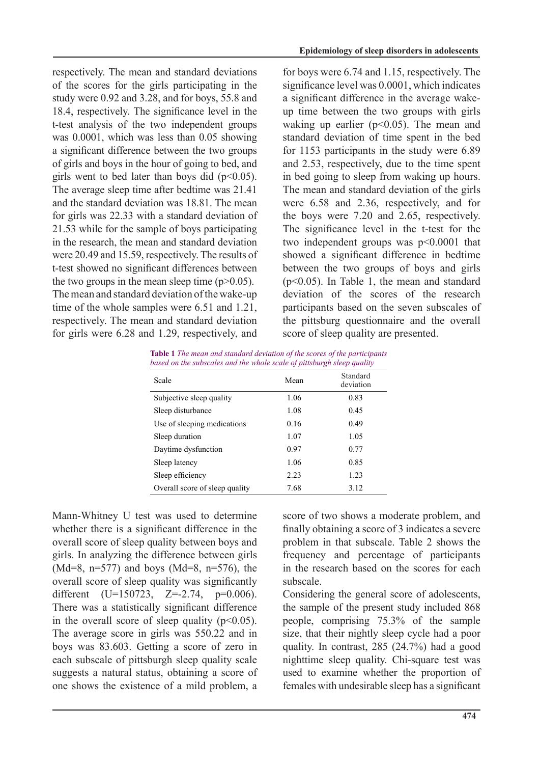respectively. The mean and standard deviations of the scores for the girls participating in the study were  $0.92$  and  $3.28$ , and for boys,  $55.8$  and 18.4, respectively. The significance level in the t-test analysis of the two independent groups was  $0.0001$ , which was less than  $0.05$  showing a significant difference between the two groups of girls and boys in the hour of going to bed, and girls went to bed later than boys did  $(p<0.05)$ . The average sleep time after bedtime was 21.41 and the standard deviation was 18.81. The mean for girls was  $22.33$  with a standard deviation of 21.53 while for the sample of boys participating in the research, the mean and standard deviation were  $20.49$  and 15.59, respectively. The results of t-test showed no significant differences between the two groups in the mean sleep time  $(p>0.05)$ . The mean and standard deviation of the wake-up time of the whole samples were  $6.51$  and  $1.21$ , respectively. The mean and standard deviation for girls were  $6.28$  and 1.29, respectively, and for boys were  $6.74$  and 1.15, respectively. The significance level was  $0.0001$ , which indicates up time between the two groups with girls a significant difference in the average wakewaking up earlier ( $p<0.05$ ). The mean and standard deviation of time spent in the bed for 1153 participants in the study were  $6.89$ and 2.53, respectively, due to the time spent in bed going to sleep from waking up hours. The mean and standard deviation of the girls were  $6.58$  and  $2.36$ , respectively, and for the boys were  $7.20$  and  $2.65$ , respectively. The significance level in the t-test for the two independent groups was  $p<0.0001$  that showed a significant difference in bedtime between the two groups of boys and girls  $(p<0.05)$ . In Table 1, the mean and standard deviation of the scores of the research participants based on the seven subscales of the pittsburg questionnaire and the overall score of sleep quality are presented.

|  | <b>Table 1</b> The mean and standard deviation of the scores of the participants |  |
|--|----------------------------------------------------------------------------------|--|
|  | based on the subscales and the whole scale of pittsburgh sleep quality           |  |

| Scale                          | Mean | Standard<br>deviation |
|--------------------------------|------|-----------------------|
| Subjective sleep quality       | 1.06 | 0.83                  |
| Sleep disturbance              | 1.08 | 0.45                  |
| Use of sleeping medications    | 0.16 | 0.49                  |
| Sleep duration                 | 1.07 | 1.05                  |
| Daytime dysfunction            | 0.97 | 0.77                  |
| Sleep latency                  | 1.06 | 0.85                  |
| Sleep efficiency               | 2.23 | 1.23                  |
| Overall score of sleep quality | 7.68 | 3.12                  |

Mann-Whitney U test was used to determine whether there is a significant difference in the overall score of sleep quality between boys and girls. In analyzing the difference between girls  $(Md=8, n=577)$  and boys  $(Md=8, n=576)$ , the overall score of sleep quality was significantly different  $(U=150723, Z=-2.74, p=0.006)$ . There was a statistically significant difference in the overall score of sleep quality  $(p<0.05)$ . The average score in girls was  $550.22$  and in boys was 83.603. Getting a score of zero in each subscale of pittsburgh sleep quality scale suggests a natural status, obtaining a score of one shows the existence of a mild problem, a score of two shows a moderate problem, and finally obtaining a score of 3 indicates a severe problem in that subscale. Table 2 shows the frequency and percentage of participants in the research based on the scores for each subscale.

Considering the general score of adolescents, the sample of the present study included 868 people, comprising  $75.3\%$  of the sample size, that their nightly sleep cycle had a poor quality. In contrast,  $285$  (24.7%) had a good nighttime sleep quality. Chi-square test was used to examine whether the proportion of females with undesirable sleep has a significant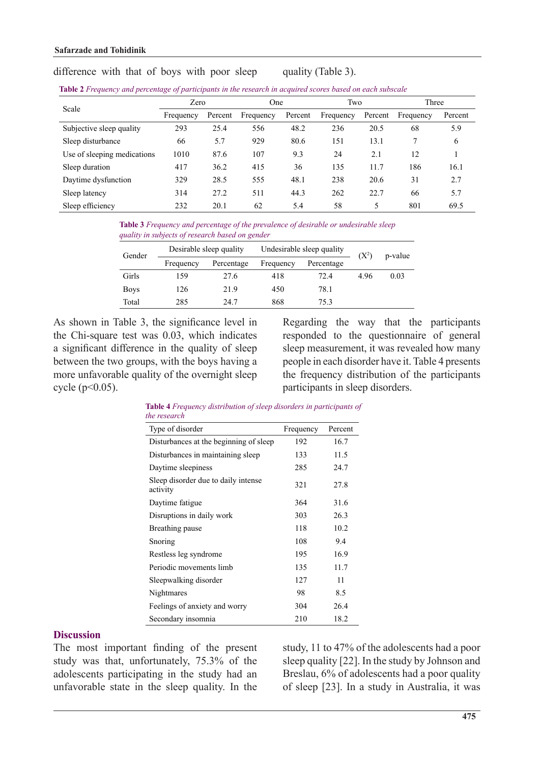#### difference with that of boys with poor sleep quality (Table 3).

|  |  | Table 2 Frequency and percentage of participants in the research in acquired scores based on each subscale |  |
|--|--|------------------------------------------------------------------------------------------------------------|--|
|  |  |                                                                                                            |  |

| Scale                       | Zero      |         | One       |         | Two       |         | Three     |         |
|-----------------------------|-----------|---------|-----------|---------|-----------|---------|-----------|---------|
|                             | Frequency | Percent | Frequency | Percent | Frequency | Percent | Frequency | Percent |
| Subjective sleep quality    | 293       | 25.4    | 556       | 48.2    | 236       | 20.5    | 68        | 5.9     |
| Sleep disturbance           | 66        | 5.7     | 929       | 80.6    | 151       | 13.1    | 7         | 6       |
| Use of sleeping medications | 1010      | 87.6    | 107       | 9.3     | 24        | 2.1     | 12        |         |
| Sleep duration              | 417       | 36.2    | 415       | 36      | 135       | 11.7    | 186       | 16.1    |
| Daytime dysfunction         | 329       | 28.5    | 555       | 48.1    | 238       | 20.6    | 31        | 2.7     |
| Sleep latency               | 314       | 27.2    | 511       | 44.3    | 262       | 22.7    | 66        | 5.7     |
| Sleep efficiency            | 232       | 20.1    | 62        | 5.4     | 58        | 5       | 801       | 69.5    |

**Table 3** Frequency and percentage of the prevalence of desirable or undesirable sleep *guality in subjects of research based on gender* 

| Gender      |           | Desirable sleep quality | Undesirable sleep quality | $(X^2)$    | p-value |      |
|-------------|-----------|-------------------------|---------------------------|------------|---------|------|
|             | Frequency | Percentage              | Frequency                 | Percentage |         |      |
| Girls       | 159       | 27.6                    | 418                       | 72.4       | 496     | 0.03 |
| <b>Boys</b> | 126       | 21.9                    | 450                       | 78.1       |         |      |
| Total       | 285       | 24.7                    | 868                       | 75 3       |         |      |

As shown in Table 3, the significance level in the Chi-square test was  $0.03$ , which indicates a significant difference in the quality of sleep between the two groups, with the boys having a more unfavorable quality of the overnight sleep cycle  $(p<0.05)$ .

Regarding the way that the participants responded to the questionnaire of general sleep measurement, it was revealed how many people in each disorder have it. Table 4 presents the frequency distribution of the participants participants in sleep disorders.

| he research                                     |           |         |  |
|-------------------------------------------------|-----------|---------|--|
| Type of disorder                                | Frequency | Percent |  |
| Disturbances at the beginning of sleep          | 192       | 16.7    |  |
| Disturbances in maintaining sleep               | 133       | 11.5    |  |
| Daytime sleepiness                              | 285       | 24.7    |  |
| Sleep disorder due to daily intense<br>activity | 321       | 27.8    |  |
| Daytime fatigue                                 | 364       | 31.6    |  |
| Disruptions in daily work                       | 303       | 26.3    |  |
| Breathing pause                                 | 118       | 10.2    |  |
| Snoring                                         | 108       | 9.4     |  |
| Restless leg syndrome                           | 195       | 16.9    |  |
| Periodic movements limb                         | 135       | 11.7    |  |
| Sleepwalking disorder                           | 127       | 11      |  |
| Nightmares                                      | 98        | 8.5     |  |
| Feelings of anxiety and worry                   | 304       | 26.4    |  |
| Secondary insomnia                              | 210       | 18.2    |  |

**Table 4** Frequency distribution of sleep disorders in participants of *research the*

#### **Discussion**

The most important finding of the present study was that, unfortunately,  $75.3\%$  of the adolescents participating in the study had an unfavorable state in the sleep quality. In the study, 11 to 47% of the adolescents had a poor sleep quality  $[22]$ . In the study by Johnson and Breslau, 6% of adolescents had a poor quality of sleep [23]. In a study in Australia, it was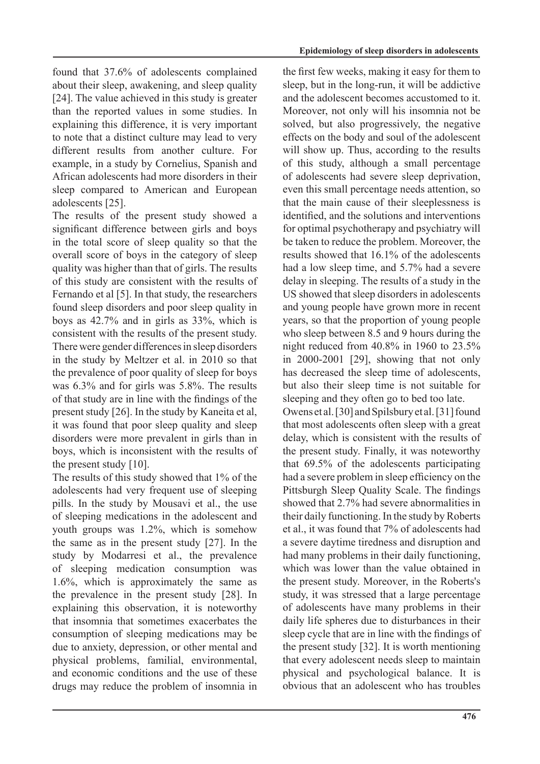found that  $37.6\%$  of adolescents complained about their sleep, awakening, and sleep quality [24]. The value achieved in this study is greater than the reported values in some studies. In explaining this difference, it is very important to note that a distinct culture may lead to very different results from another culture. For example, in a study by Cornelius, Spanish and African adolescents had more disorders in their sleep compared to American and European adolescents [25].

The results of the present study showed a significant difference between girls and boys in the total score of sleep quality so that the overall score of boys in the category of sleep quality was higher than that of girls. The results of this study are consistent with the results of Fernando et al [5]. In that study, the researchers found sleep disorders and poor sleep quality in boys as  $42.7\%$  and in girls as  $33\%$ , which is consistent with the results of the present study. There were gender differences in sleep disorders in the study by Meltzer et al. in 2010 so that the prevalence of poor quality of sleep for boys was  $6.3\%$  and for girls was  $5.8\%$ . The results of that study are in line with the findings of the present study  $[26]$ . In the study by Kaneita et al. it was found that poor sleep quality and sleep disorders were more prevalent in girls than in boys, which is inconsistent with the results of the present study  $[10]$ .

The results of this study showed that 1% of the adolescents had very frequent use of sleeping pills. In the study by Mousavi et al., the use of sleeping medications in the adolescent and youth groups was  $1.2\%$ , which is somehow the same as in the present study  $[27]$ . In the study by Modarresi et al., the prevalence of sleeping medication consumption was  $1.6\%$ , which is approximately the same as the prevalence in the present study  $[28]$ . In explaining this observation, it is noteworthy that insomnia that sometimes exacerbates the consumption of sleeping medications may be due to anxiety, depression, or other mental and physical problems, familial, environmental, and economic conditions and the use of these drugs may reduce the problem of insomnia in the first few weeks, making it easy for them to sleep, but in the long-run, it will be addictive and the adolescent becomes accustomed to it. Moreover, not only will his insomnia not be solved, but also progressively, the negative effects on the body and soul of the adolescent will show up. Thus, according to the results of this study, although a small percentage of adolescents had severe sleep deprivation, even this small percentage needs attention, so that the main cause of their sleeplessness is identified, and the solutions and interventions for optimal psychotherapy and psychiatry will be taken to reduce the problem. Moreover, the results showed that  $16.1\%$  of the adolescents had a low sleep time, and  $5.7\%$  had a severe delay in sleeping. The results of a study in the US showed that sleep disorders in adolescents and young people have grown more in recent years, so that the proportion of young people who sleep between  $8.5$  and 9 hours during the night reduced from  $40.8\%$  in 1960 to  $23.5\%$ in  $2000-2001$  [29], showing that not only has decreased the sleep time of adolescents, but also their sleep time is not suitable for sleeping and they often go to bed too late.

Owens et al. [30] and Spilsbury et al. [31] found that most adolescents often sleep with a great delay, which is consistent with the results of the present study. Finally, it was noteworthy that  $69.5\%$  of the adolescents participating had a severe problem in sleep efficiency on the Pittsburgh Sleep Quality Scale. The findings showed that 2.7% had severe abnormalities in their daily functioning. In the study by Roberts et al., it was found that 7% of adolescents had a severe daytime tiredness and disruption and had many problems in their daily functioning. which was lower than the value obtained in the present study. Moreover, in the Roberts's study, it was stressed that a large percentage of adolescents have many problems in their daily life spheres due to disturbances in their sleep cycle that are in line with the findings of the present study  $[32]$ . It is worth mentioning that every adolescent needs sleep to maintain physical and psychological balance. It is obvious that an adolescent who has troubles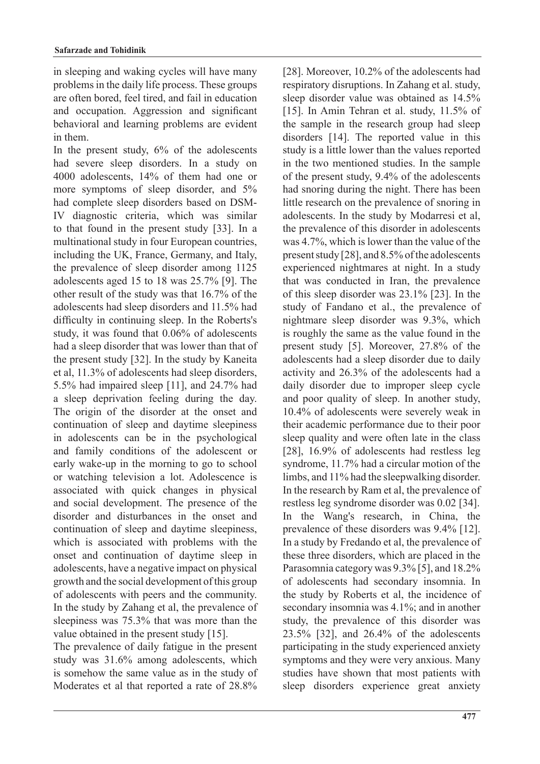in sleeping and waking cycles will have many problems in the daily life process. These groups are often bored, feel tired, and fail in education and occupation. Aggression and significant behavioral and learning problems are evident in them

In the present study,  $6\%$  of the adolescents had severe sleep disorders. In a study on  $4000$  adolescents,  $14%$  of them had one or more symptoms of sleep disorder, and 5% IV diagnostic criteria, which was similar had complete sleep disorders based on DSMto that found in the present study  $[33]$ . In a multinational study in four European countries, including the UK, France, Germany, and Italy, the prevalence of sleep disorder among 1125 adolescents aged 15 to 18 was  $25.7\%$  [9]. The other result of the study was that  $16.7\%$  of the adolescents had sleep disorders and 11.5% had difficulty in continuing sleep. In the Roberts's study, it was found that 0.06% of adolescents had a sleep disorder that was lower than that of the present study  $[32]$ . In the study by Kaneita et al,  $11.3\%$  of adolescents had sleep disorders, 5.5% had impaired sleep [11], and  $24.7%$  had a sleep deprivation feeling during the day. The origin of the disorder at the onset and continuation of sleep and daytime sleepiness in adolescents can be in the psychological and family conditions of the adolescent or early wake-up in the morning to go to school or watching television a lot. Adolescence is associated with quick changes in physical and social development. The presence of the disorder and disturbances in the onset and continuation of sleep and daytime sleepiness, which is associated with problems with the onset and continuation of daytime sleep in adolescents, have a negative impact on physical growth and the social development of this group of adolescents with peers and the community. In the study by Zahang et al, the prevalence of sleepiness was  $75.3\%$  that was more than the value obtained in the present study  $[15]$ .

The prevalence of daily fatigue in the present study was  $31.6\%$  among adolescents, which is somehow the same value as in the study of Moderates et al that reported a rate of 28.8% [28]. Moreover,  $10.2\%$  of the adolescents had respiratory disruptions. In Zahang et al. study, sleep disorder value was obtained as 14.5% [15]. In Amin Tehran et al. study,  $11.5\%$  of the sample in the research group had sleep disorders  $[14]$ . The reported value in this study is a little lower than the values reported in the two mentioned studies. In the sample of the present study,  $9.4\%$  of the adolescents had snoring during the night. There has been little research on the prevalence of snoring in adolescents. In the study by Modarresi et al. the prevalence of this disorder in adolescents was  $4.7\%$ , which is lower than the value of the present study [28], and 8.5% of the adolescents experienced nightmares at night. In a study that was conducted in Iran, the prevalence of this sleep disorder was  $23.1\%$  [23]. In the study of Fandano et al., the prevalence of nightmare sleep disorder was 9.3%, which is roughly the same as the value found in the present study  $[5]$ . Moreover, 27.8% of the adolescents had a sleep disorder due to daily activity and  $26.3\%$  of the adolescents had a daily disorder due to improper sleep cycle and poor quality of sleep. In another study, 10.4% of adolescents were severely weak in their academic performance due to their poor sleep quality and were often late in the class [28],  $16.9\%$  of adolescents had restless leg syndrome, 11.7% had a circular motion of the  $\lim_{\delta}$  and 11% had the sleepwalking disorder. In the research by Ram et al, the prevalence of restless leg syndrome disorder was 0.02 [34]. In the Wang's research, in China, the prevalence of these disorders was  $9.4\%$  [12]. In a study by Fredando et al, the prevalence of these three disorders, which are placed in the Parasomnia category was 9.3% [5], and 18.2% of adolescents had secondary insomnia. In the study by Roberts et al, the incidence of secondary insomnia was  $4.1\%$ ; and in another study, the prevalence of this disorder was  $23.5\%$  [32], and  $26.4\%$  of the adolescents participating in the study experienced anxiety symptoms and they were very anxious. Many studies have shown that most patients with sleep disorders experience great anxiety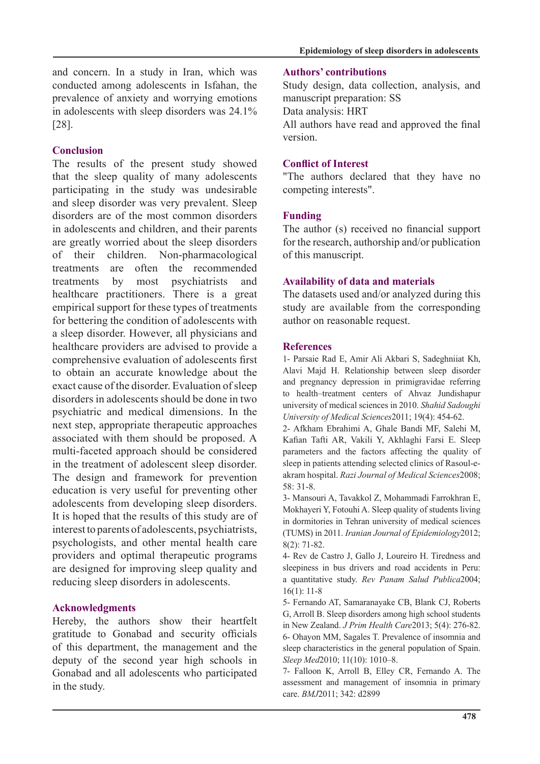and concern. In a study in Iran, which was conducted among adolescents in Isfahan, the prevalence of anxiety and worrying emotions in adolescents with sleep disorders was  $24.1\%$ .[28]

### **Conclusion**

The results of the present study showed that the sleep quality of many adolescents participating in the study was undesirable and sleep disorder was very prevalent. Sleep disorders are of the most common disorders in adolescents and children, and their parents are greatly worried about the sleep disorders of their children. Non-pharmacological treatments are often the recommended treatments by most psychiatrists and healthcare practitioners. There is a great empirical support for these types of treatments for bettering the condition of adolescents with a sleep disorder. However, all physicians and healthcare providers are advised to provide a comprehensive evaluation of adolescents first to obtain an accurate knowledge about the exact cause of the disorder. Evaluation of sleep disorders in adolescents should be done in two psychiatric and medical dimensions. In the next step, appropriate therapeutic approaches associated with them should be proposed. A multi-faceted approach should be considered in the treatment of adolescent sleep disorder. The design and framework for prevention education is very useful for preventing other adolescents from developing sleep disorders. It is hoped that the results of this study are of interest to parents of adolescents, psychiatrists, psychologists, and other mental health care providers and optimal therapeutic programs are designed for improving sleep quality and reducing sleep disorders in adolescents.

### **Acknowledgments**

Hereby, the authors show their heartfelt gratitude to Gonabad and security officials of this department, the management and the deputy of the second year high schools in Gonabad and all adolescents who participated in the study.

### **contributions' Authors**

Study design, data collection, analysis, and manuscript preparation: SS Data analysis: HRT All authors have read and approved the final .version

### **Conflict of Interest**

"The authors declared that they have no competing interests".

### **Funding**

The author (s) received no financial support for the research, authorship and/or publication of this manuscript.

### **Availability of data and materials**

The datasets used and/or analyzed during this study are available from the corresponding author on reasonable request.

#### **References**

1- Parsaie Rad E, Amir Ali Akbari S, Sadeghniiat Kh, Alavi Majd H. Relationship between sleep disorder and pregnancy depression in primigravidae referring to health–treatment centers of Ahvaz Jundishapur university of medical sciences in 2010. Shahid Sadoughi University of Medical Sciences 2011; 19(4): 454-62.

2- Afkham Ebrahimi A, Ghale Bandi MF, Salehi M, Kafian Tafti AR, Vakili Y, Akhlaghi Farsi E. Sleep parameters and the factors affecting the quality of akram hospital. *Razi Journal of Medical Sciences* 2008: sleep in patients attending selected clinics of Rasoul-e-31-8. 58:

3- Mansouri A, Tavakkol Z, Mohammadi Farrokhran E, Mokhayeri Y, Fotouhi A. Sleep quality of students living in dormitories in Tehran university of medical sciences (TUMS) in 2011. Iranian Journal of Epidemiology 2012;  $8(2)$ : 71-82.

4- Rev de Castro J, Gallo J, Loureiro H. Tiredness and sleepiness in bus drivers and road accidents in Peru: a quantitative study. Rev Panam Salud Publica 2004;  $16(1): 11-8$ 

5- Fernando AT, Samaranayake CB, Blank CJ, Roberts G, Arroll B. Sleep disorders among high school students in New Zealand. *J Prim Health Care* 2013; 5(4): 276-82. 6- Ohayon MM, Sagales T. Prevalence of insomnia and sleep characteristics in the general population of Spain. Sleep Med 2010; 11(10): 1010-8.

7- Falloon K, Arroll B, Elley CR, Fernando A. The assessment and management of insomnia in primary care. *BMJ* 2011; 342: d2899